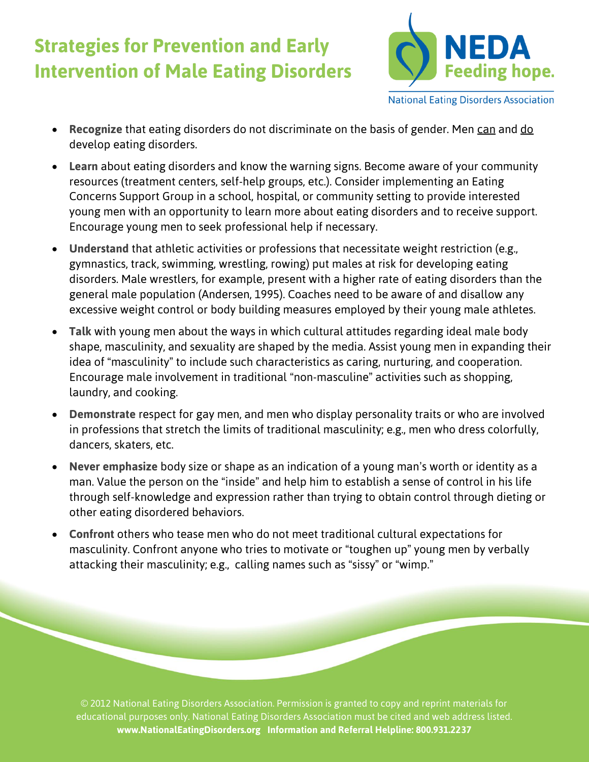## **Strategies for Prevention and Early Intervention of Male Eating Disorders**



**National Eating Disorders Association** 

- **Recognize** that eating disorders do not discriminate on the basis of gender. Men can and do develop eating disorders.
- **Learn** about eating disorders and know the warning signs. Become aware of your community resources (treatment centers, self-help groups, etc.). Consider implementing an Eating Concerns Support Group in a school, hospital, or community setting to provide interested young men with an opportunity to learn more about eating disorders and to receive support. Encourage young men to seek professional help if necessary.
- **Understand** that athletic activities or professions that necessitate weight restriction (e.g., gymnastics, track, swimming, wrestling, rowing) put males at risk for developing eating disorders. Male wrestlers, for example, present with a higher rate of eating disorders than the general male population (Andersen, 1995). Coaches need to be aware of and disallow any excessive weight control or body building measures employed by their young male athletes.
- **Talk** with young men about the ways in which cultural attitudes regarding ideal male body shape, masculinity, and sexuality are shaped by the media. Assist young men in expanding their idea of "masculinity" to include such characteristics as caring, nurturing, and cooperation. Encourage male involvement in traditional "non-masculine" activities such as shopping, laundry, and cooking.
- **Demonstrate** respect for gay men, and men who display personality traits or who are involved in professions that stretch the limits of traditional masculinity; e.g., men who dress colorfully, dancers, skaters, etc.
- **Never emphasize** body size or shape as an indication of a young man's worth or identity as a man. Value the person on the "inside" and help him to establish a sense of control in his life through self-knowledge and expression rather than trying to obtain control through dieting or other eating disordered behaviors.
- **Confront** others who tease men who do not meet traditional cultural expectations for masculinity. Confront anyone who tries to motivate or "toughen up" young men by verbally attacking their masculinity; e.g., calling names such as "sissy" or "wimp."

© 2012 National Eating Disorders Association. Permission is granted to copy and reprint materials for educational purposes only. National Eating Disorders Association must be cited and web address listed. **www.NationalEatingDisorders.org Information and Referral Helpline: 800.931.2237**